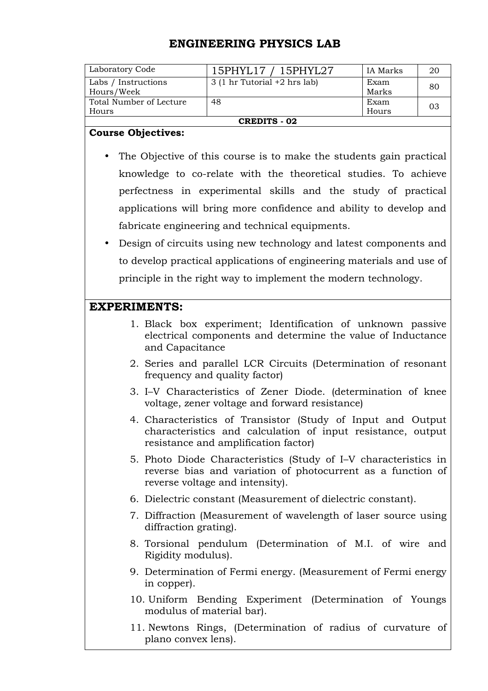## **ENGINEERING PHYSICS LAB**

| Laboratory Code         | 15PHYL17 / 15PHYL27                             | IA Marks | 20 |
|-------------------------|-------------------------------------------------|----------|----|
| Labs / Instructions     | $3(1 \text{ hr}$ Tutorial $+2 \text{ hrs}$ lab) | Exam     | 80 |
| Hours/Week              |                                                 | Marks    |    |
| Total Number of Lecture | 48                                              | Exam     |    |
| Hours                   |                                                 | Hours    |    |
| <b>CREDITS - 02</b>     |                                                 |          |    |

## **Course Objectives:**

- The Objective of this course is to make the students gain practical knowledge to co-relate with the theoretical studies. To achieve perfectness in experimental skills and the study of practical applications will bring more confidence and ability to develop and fabricate engineering and technical equipments.
- Design of circuits using new technology and latest components and to develop practical applications of engineering materials and use of principle in the right way to implement the modern technology.

## **EXPERIMENTS:**

- 1. Black box experiment; Identification of unknown passive electrical components and determine the value of Inductance and Capacitance
- 2. Series and parallel LCR Circuits (Determination of resonant frequency and quality factor)
- 3. I–V Characteristics of Zener Diode. (determination of knee voltage, zener voltage and forward resistance)
- 4. Characteristics of Transistor (Study of Input and Output characteristics and calculation of input resistance, output resistance and amplification factor)
- 5. Photo Diode Characteristics (Study of I–V characteristics in reverse bias and variation of photocurrent as a function of reverse voltage and intensity).
- 6. Dielectric constant (Measurement of dielectric constant).
- 7. Diffraction (Measurement of wavelength of laser source using diffraction grating).
- 8. Torsional pendulum (Determination of M.I. of wire and Rigidity modulus).
- 9. Determination of Fermi energy. (Measurement of Fermi energy in copper).
- 10. Uniform Bending Experiment (Determination of Youngs modulus of material bar).
- 11. Newtons Rings, (Determination of radius of curvature of plano convex lens).